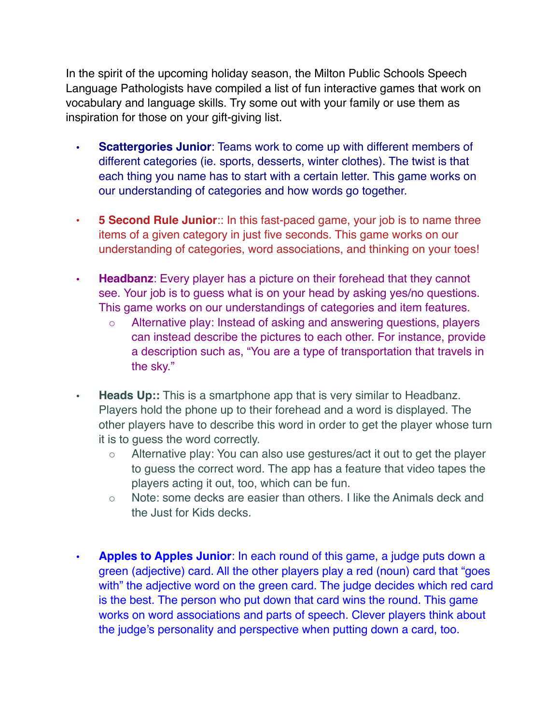In the spirit of the upcoming holiday season, the Milton Public Schools Speech Language Pathologists have compiled a list of fun interactive games that work on vocabulary and language skills. Try some out with your family or use them as inspiration for those on your gift-giving list.

- **• Scattergories Junior**: Teams work to come up with different members of different categories (ie. sports, desserts, winter clothes). The twist is that each thing you name has to start with a certain letter. This game works on our understanding of categories and how words go together.
- **• 5 Second Rule Junior**:: In this fast-paced game, your job is to name three items of a given category in just five seconds. This game works on our understanding of categories, word associations, and thinking on your toes!
- **Headbanz**: Every player has a picture on their forehead that they cannot see. Your job is to guess what is on your head by asking yes/no questions. This game works on our understandings of categories and item features.
	- Alternative play: Instead of asking and answering questions, players can instead describe the pictures to each other. For instance, provide a description such as, "You are a type of transportation that travels in the sky."
- **Heads Up::** This is a smartphone app that is very similar to Headbanz. Players hold the phone up to their forehead and a word is displayed. The other players have to describe this word in order to get the player whose turn it is to guess the word correctly.
	- Alternative play: You can also use gestures/act it out to get the player to guess the correct word. The app has a feature that video tapes the players acting it out, too, which can be fun.
	- Note: some decks are easier than others. I like the Animals deck and the Just for Kids decks.
- **Apples to Apples Junior**: In each round of this game, a judge puts down a green (adjective) card. All the other players play a red (noun) card that "goes with" the adjective word on the green card. The judge decides which red card is the best. The person who put down that card wins the round. This game works on word associations and parts of speech. Clever players think about the judge's personality and perspective when putting down a card, too.